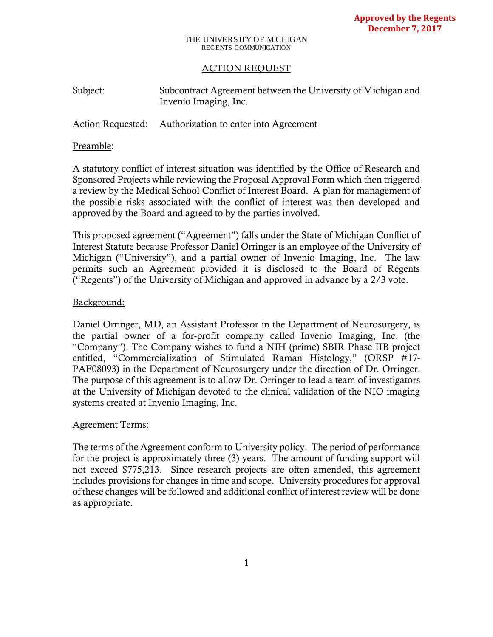#### THE UNIVERSITY OF MICHIGAN REGENTS COMMUNICATION

# ACTION REQUEST

Subject: Subcontract Agreement between the University of Michigan and Invenio Imaging, Inc.

## Action Requested: Authorization to enter into Agreement

### Preamble:

A statutory conflict of interest situation was identified by the Office of Research and Sponsored Projects while reviewing the Proposal Approval Form which then triggered a review by the Medical School Conflict of Interest Board. A plan for management of the possible risks associated with the conflict of interest was then developed and approved by the Board and agreed to by the parties involved.

This proposed agreement ("Agreement") falls under the State of Michigan Conflict of Interest Statute because Professor Daniel Orringer is an employee of the University of Michigan ("University"), and a partial owner of Invenio Imaging, Inc. The law permits such an Agreement provided it is disclosed to the Board of Regents ("Regents") of the University of Michigan and approved in advance by a 2/3 vote.

## Background:

Daniel Orringer, MD, an Assistant Professor in the Department of Neurosurgery, is the partial owner of a for-profit company called Invenio Imaging, Inc. (the "Company"). The Company wishes to fund a NIH (prime) SBIR Phase IIB project entitled, "Commercialization of Stimulated Raman Histology," (ORSP #17- PAF08093) in the Department of Neurosurgery under the direction of Dr. Orringer. The purpose of this agreement is to allow Dr. Orringer to lead a team of investigators at the University of Michigan devoted to the clinical validation of the NIO imaging systems created at Invenio Imaging, Inc.

### Agreement Terms:

The terms of the Agreement conform to University policy. The period of performance for the project is approximately three (3) years. The amount of funding support will not exceed \$775,213. Since research projects are often amended, this agreement includes provisions for changes in time and scope. University procedures for approval of these changes will be followed and additional conflict of interest review will be done as appropriate.